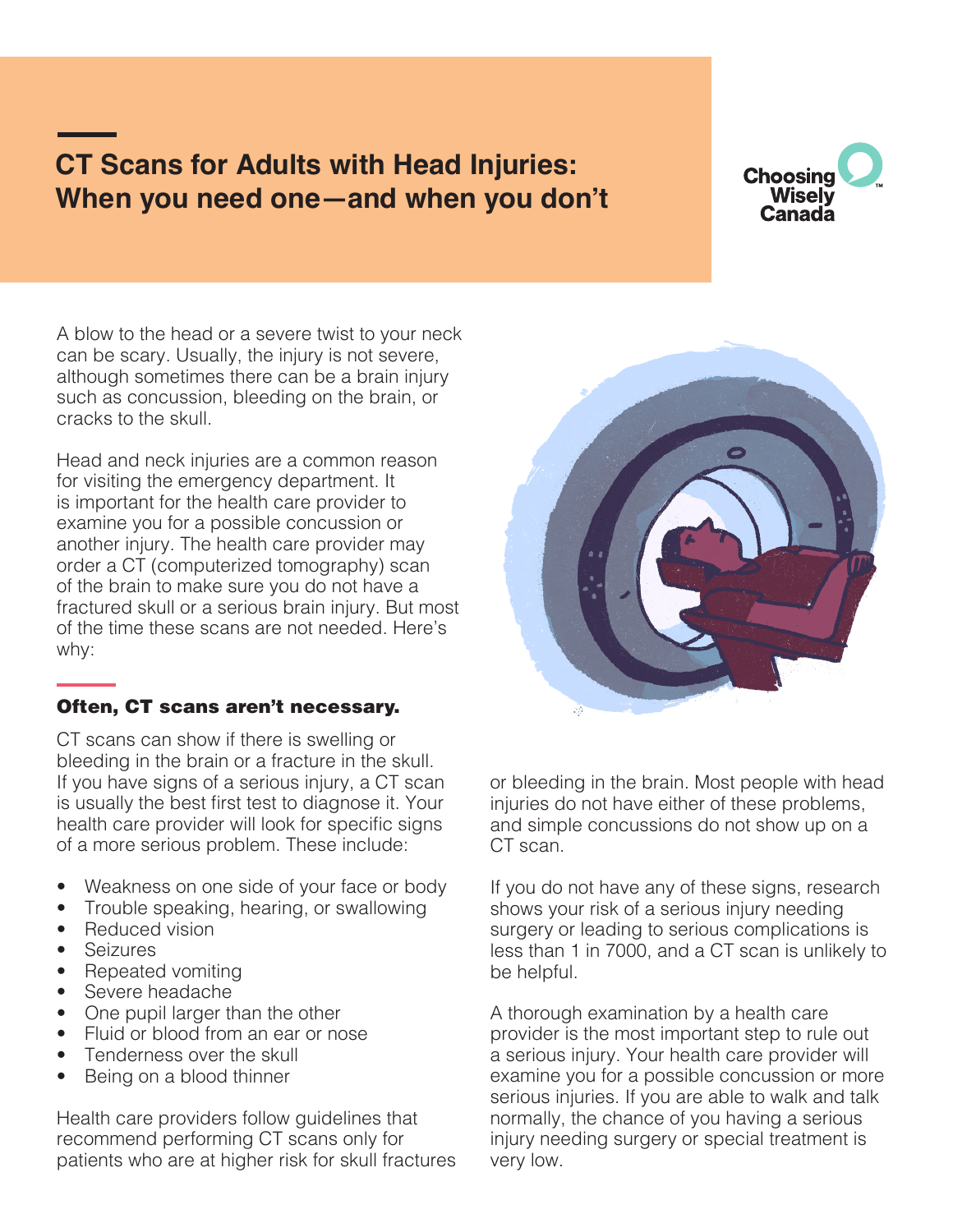# **CT Scans for Adults with Head Injuries: When you need one—and when you don't**



A blow to the head or a severe twist to your neck can be scary. Usually, the injury is not severe, although sometimes there can be a brain injury such as concussion, bleeding on the brain, or cracks to the skull.

Head and neck injuries are a common reason for visiting the emergency department. It is important for the health care provider to examine you for a possible concussion or another injury. The health care provider may order a CT (computerized tomography) scan of the brain to make sure you do not have a fractured skull or a serious brain injury. But most of the time these scans are not needed. Here's why:

# Often, CT scans aren't necessary.

CT scans can show if there is swelling or bleeding in the brain or a fracture in the skull. If you have signs of a serious injury, a CT scan is usually the best first test to diagnose it. Your health care provider will look for specific signs of a more serious problem. These include:

- Weakness on one side of your face or body
- Trouble speaking, hearing, or swallowing
- Reduced vision
- **Seizures**
- Repeated vomiting
- Severe headache
- One pupil larger than the other
- Fluid or blood from an ear or nose
- Tenderness over the skull
- Being on a blood thinner

Health care providers follow guidelines that recommend performing CT scans only for patients who are at higher risk for skull fractures



or bleeding in the brain. Most people with head injuries do not have either of these problems, and simple concussions do not show up on a CT scan.

If you do not have any of these signs, research shows your risk of a serious injury needing surgery or leading to serious complications is less than 1 in 7000, and a CT scan is unlikely to be helpful.

A thorough examination by a health care provider is the most important step to rule out a serious injury. Your health care provider will examine you for a possible concussion or more serious injuries. If you are able to walk and talk normally, the chance of you having a serious injury needing surgery or special treatment is very low.